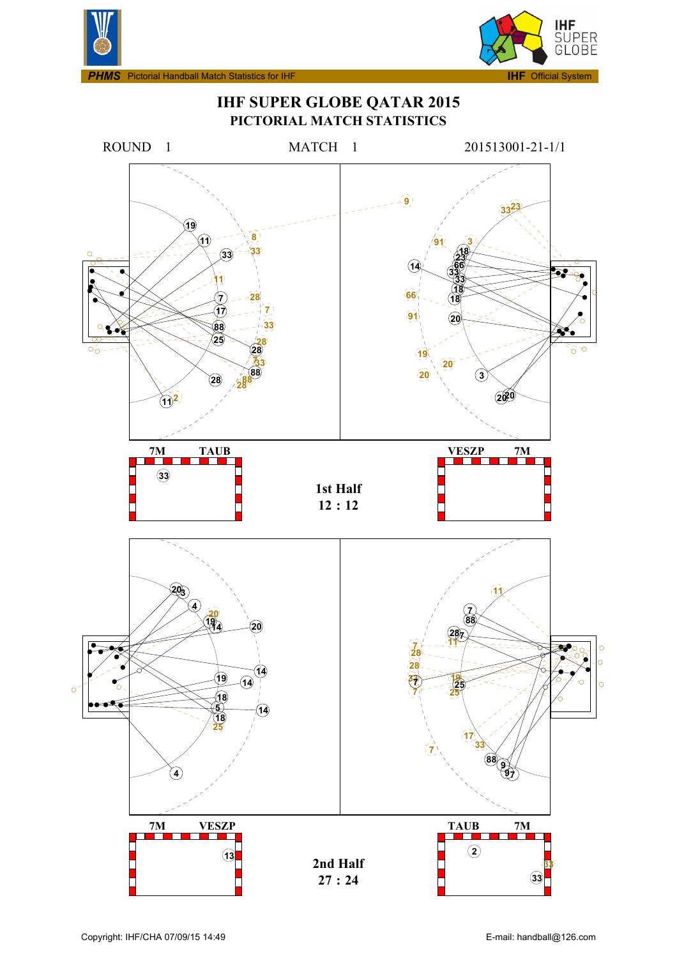



**IMS** Pictorial Handball Match Statistics for IHF



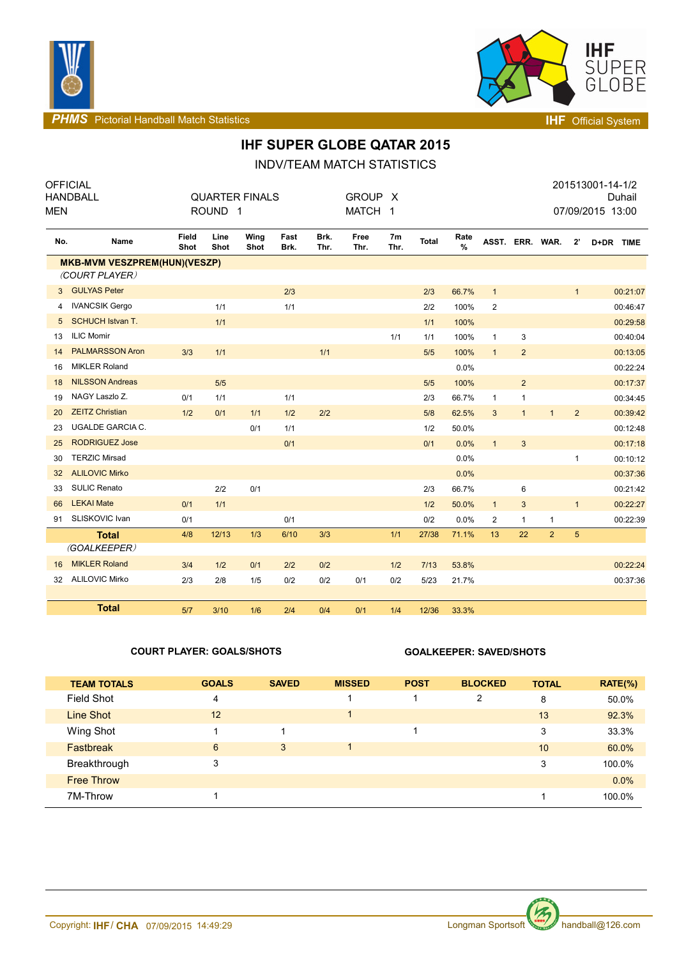



**PHMS** Pictorial Handball Match Statistics **INF** Official System

# **IHF SUPER GLOBE QATAR 2015**

INDV/TEAM MATCH STATISTICS

| <b>MEN</b>     | <b>OFFICIAL</b><br><b>HANDBALL</b>                    |               | ROUND <sub>1</sub> | <b>QUARTER FINALS</b> |              |              | GROUP X<br>MATCH 1 |                        |              |           |                 |                |                |                | 201513001-14-1/2<br>Duhail<br>07/09/2015 13:00 |
|----------------|-------------------------------------------------------|---------------|--------------------|-----------------------|--------------|--------------|--------------------|------------------------|--------------|-----------|-----------------|----------------|----------------|----------------|------------------------------------------------|
| No.            | Name                                                  | Field<br>Shot | Line<br>Shot       | Wing<br>Shot          | Fast<br>Brk. | Brk.<br>Thr. | Free<br>Thr.       | 7 <sub>m</sub><br>Thr. | <b>Total</b> | Rate<br>% | ASST. ERR. WAR. |                |                | $2^{\prime}$   | D+DR TIME                                      |
|                | <b>MKB-MVM VESZPREM(HUN)(VESZP)</b><br>(COURT PLAYER) |               |                    |                       |              |              |                    |                        |              |           |                 |                |                |                |                                                |
| 3 <sup>1</sup> | <b>GULYAS Peter</b>                                   |               |                    |                       | 2/3          |              |                    |                        | 2/3          | 66.7%     | $\mathbf{1}$    |                |                | $\mathbf{1}$   | 00:21:07                                       |
| 4              | <b>IVANCSIK Gergo</b>                                 |               | 1/1                |                       | 1/1          |              |                    |                        | 2/2          | 100%      | $\overline{2}$  |                |                |                | 00:46:47                                       |
| 5              | <b>SCHUCH Istvan T.</b>                               |               | 1/1                |                       |              |              |                    |                        | 1/1          | 100%      |                 |                |                |                | 00:29:58                                       |
| 13             | <b>ILIC Momir</b>                                     |               |                    |                       |              |              |                    | 1/1                    | 1/1          | 100%      | $\mathbf{1}$    | 3              |                |                | 00:40:04                                       |
| 14             | <b>PALMARSSON Aron</b>                                | 3/3           | 1/1                |                       |              | 1/1          |                    |                        | 5/5          | 100%      | $\overline{1}$  | $\overline{2}$ |                |                | 00:13:05                                       |
| 16             | <b>MIKLER Roland</b>                                  |               |                    |                       |              |              |                    |                        |              | 0.0%      |                 |                |                |                | 00:22:24                                       |
| 18             | <b>NILSSON Andreas</b>                                |               | 5/5                |                       |              |              |                    |                        | 5/5          | 100%      |                 | $\overline{2}$ |                |                | 00:17:37                                       |
| 19             | NAGY Laszlo Z.                                        | 0/1           | 1/1                |                       | 1/1          |              |                    |                        | 2/3          | 66.7%     | $\mathbf{1}$    | $\mathbf{1}$   |                |                | 00:34:45                                       |
| 20             | <b>ZEITZ Christian</b>                                | 1/2           | 0/1                | 1/1                   | 1/2          | 2/2          |                    |                        | 5/8          | 62.5%     | 3               | $\mathbf{1}$   | $\mathbf{1}$   | $\overline{2}$ | 00:39:42                                       |
| 23             | <b>UGALDE GARCIA C.</b>                               |               |                    | 0/1                   | 1/1          |              |                    |                        | 1/2          | 50.0%     |                 |                |                |                | 00:12:48                                       |
| 25             | <b>RODRIGUEZ Jose</b>                                 |               |                    |                       | 0/1          |              |                    |                        | 0/1          | 0.0%      | $\mathbf{1}$    | 3              |                |                | 00:17:18                                       |
| 30             | <b>TERZIC Mirsad</b>                                  |               |                    |                       |              |              |                    |                        |              | 0.0%      |                 |                |                | $\mathbf{1}$   | 00:10:12                                       |
| 32             | <b>ALILOVIC Mirko</b>                                 |               |                    |                       |              |              |                    |                        |              | 0.0%      |                 |                |                |                | 00:37:36                                       |
| 33             | <b>SULIC Renato</b>                                   |               | 2/2                | 0/1                   |              |              |                    |                        | 2/3          | 66.7%     |                 | 6              |                |                | 00:21:42                                       |
| 66             | <b>LEKAI Mate</b>                                     | 0/1           | 1/1                |                       |              |              |                    |                        | 1/2          | 50.0%     | $\mathbf{1}$    | $\mathbf{3}$   |                | $\mathbf{1}$   | 00:22:27                                       |
| 91             | SLISKOVIC Ivan                                        | 0/1           |                    |                       | 0/1          |              |                    |                        | 0/2          | 0.0%      | $\overline{2}$  | 1              | $\mathbf{1}$   |                | 00:22:39                                       |
|                | <b>Total</b>                                          | 4/8           | 12/13              | 1/3                   | 6/10         | 3/3          |                    | 1/1                    | 27/38        | 71.1%     | 13              | 22             | $\overline{2}$ | 5              |                                                |
|                | (GOALKEEPER)                                          |               |                    |                       |              |              |                    |                        |              |           |                 |                |                |                |                                                |
| 16             | <b>MIKLER Roland</b>                                  | 3/4           | 1/2                | 0/1                   | 2/2          | 0/2          |                    | 1/2                    | 7/13         | 53.8%     |                 |                |                |                | 00:22:24                                       |
| 32             | <b>ALILOVIC Mirko</b>                                 | 2/3           | 2/8                | 1/5                   | 0/2          | 0/2          | 0/1                | 0/2                    | 5/23         | 21.7%     |                 |                |                |                | 00:37:36                                       |
|                | <b>Total</b>                                          | 5/7           | 3/10               | 1/6                   | 2/4          | 0/4          | 0/1                | 1/4                    | 12/36        | 33.3%     |                 |                |                |                |                                                |

### **COURT PLAYER: GOALS/SHOTS GOALKEEPER: SAVED/SHOTS**

| <b>TEAM TOTALS</b> | <b>GOALS</b> | <b>SAVED</b> | <b>MISSED</b> | <b>POST</b> | <b>BLOCKED</b> | <b>TOTAL</b> | $RATE(\%)$ |
|--------------------|--------------|--------------|---------------|-------------|----------------|--------------|------------|
| Field Shot         | 4            |              |               |             | 2              | 8            | 50.0%      |
| Line Shot          | 12           |              |               |             |                | 13           | 92.3%      |
| Wing Shot          |              |              |               |             |                | 3            | 33.3%      |
| <b>Fastbreak</b>   | 6            | 3            |               |             |                | 10           | 60.0%      |
| Breakthrough       | 3            |              |               |             |                | 3            | 100.0%     |
| <b>Free Throw</b>  |              |              |               |             |                |              | $0.0\%$    |
| 7M-Throw           |              |              |               |             |                |              | 100.0%     |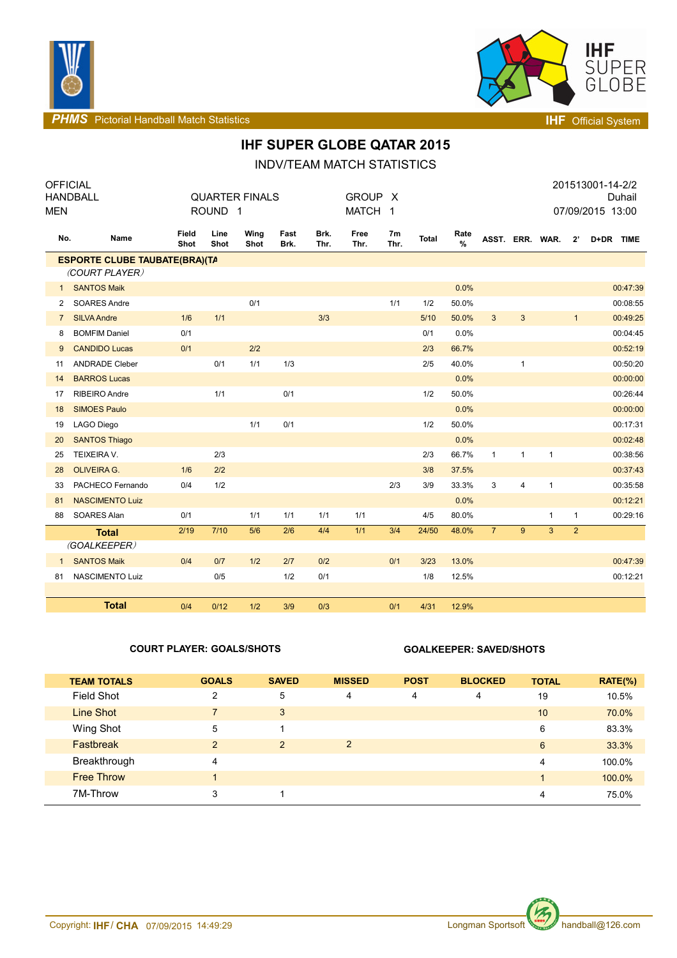



**PHMS** Pictorial Handball Match Statistics **Internal Physics INF** Official System

## **IHF SUPER GLOBE QATAR 2015**

INDV/TEAM MATCH STATISTICS

| <b>OFFICIAL</b><br>MEN | <b>HANDBALL</b>                      |               | ROUND <sub>1</sub> | <b>QUARTER FINALS</b> |              |              | GROUP X<br>MATCH 1 |            |              |           |                 |                         |              |                | 201513001-14-2/2<br>Duhail<br>07/09/2015 13:00 |
|------------------------|--------------------------------------|---------------|--------------------|-----------------------|--------------|--------------|--------------------|------------|--------------|-----------|-----------------|-------------------------|--------------|----------------|------------------------------------------------|
| No.                    | Name                                 | Field<br>Shot | Line<br>Shot       | Wing<br>Shot          | Fast<br>Brk. | Brk.<br>Thr. | Free<br>Thr.       | 7m<br>Thr. | <b>Total</b> | Rate<br>% | ASST. ERR. WAR. |                         |              | $2^{\prime}$   | D+DR TIME                                      |
|                        | <b>ESPORTE CLUBE TAUBATE(BRA)(TA</b> |               |                    |                       |              |              |                    |            |              |           |                 |                         |              |                |                                                |
|                        | (COURT PLAYER)                       |               |                    |                       |              |              |                    |            |              |           |                 |                         |              |                |                                                |
| $\mathbf{1}$           | <b>SANTOS Maik</b>                   |               |                    |                       |              |              |                    |            |              | 0.0%      |                 |                         |              |                | 00:47:39                                       |
| 2                      | <b>SOARES Andre</b>                  |               |                    | 0/1                   |              |              |                    | 1/1        | 1/2          | 50.0%     |                 |                         |              |                | 00:08:55                                       |
| $\overline{7}$         | <b>SILVA Andre</b>                   | 1/6           | 1/1                |                       |              | 3/3          |                    |            | 5/10         | 50.0%     | $\mathbf{3}$    | $\mathbf{3}$            |              | $\mathbf{1}$   | 00:49:25                                       |
| 8                      | <b>BOMFIM Daniel</b>                 | 0/1           |                    |                       |              |              |                    |            | 0/1          | 0.0%      |                 |                         |              |                | 00:04:45                                       |
| 9                      | <b>CANDIDO Lucas</b>                 | 0/1           |                    | 2/2                   |              |              |                    |            | 2/3          | 66.7%     |                 |                         |              |                | 00:52:19                                       |
| 11                     | <b>ANDRADE Cleber</b>                |               | 0/1                | 1/1                   | 1/3          |              |                    |            | 2/5          | 40.0%     |                 | $\mathbf{1}$            |              |                | 00:50:20                                       |
| 14                     | <b>BARROS Lucas</b>                  |               |                    |                       |              |              |                    |            |              | 0.0%      |                 |                         |              |                | 00:00:00                                       |
| 17                     | <b>RIBEIRO Andre</b>                 |               | 1/1                |                       | 0/1          |              |                    |            | 1/2          | 50.0%     |                 |                         |              |                | 00:26:44                                       |
| 18                     | <b>SIMOES Paulo</b>                  |               |                    |                       |              |              |                    |            |              | 0.0%      |                 |                         |              |                | 00:00:00                                       |
| 19                     | <b>LAGO Diego</b>                    |               |                    | 1/1                   | 0/1          |              |                    |            | 1/2          | 50.0%     |                 |                         |              |                | 00:17:31                                       |
| 20                     | <b>SANTOS Thiago</b>                 |               |                    |                       |              |              |                    |            |              | 0.0%      |                 |                         |              |                | 00:02:48                                       |
| 25                     | TEIXEIRA V.                          |               | 2/3                |                       |              |              |                    |            | 2/3          | 66.7%     | $\mathbf{1}$    | $\mathbf{1}$            | $\mathbf{1}$ |                | 00:38:56                                       |
| 28                     | <b>OLIVEIRA G.</b>                   | 1/6           | 2/2                |                       |              |              |                    |            | 3/8          | 37.5%     |                 |                         |              |                | 00:37:43                                       |
| 33                     | PACHECO Fernando                     | 0/4           | 1/2                |                       |              |              |                    | 2/3        | 3/9          | 33.3%     | 3               | $\overline{\mathbf{4}}$ | $\mathbf{1}$ |                | 00:35:58                                       |
| 81                     | <b>NASCIMENTO Luiz</b>               |               |                    |                       |              |              |                    |            |              | 0.0%      |                 |                         |              |                | 00:12:21                                       |
| 88                     | SOARES Alan                          | 0/1           |                    | 1/1                   | 1/1          | 1/1          | 1/1                |            | 4/5          | 80.0%     |                 |                         | $\mathbf{1}$ | $\mathbf{1}$   | 00:29:16                                       |
|                        | <b>Total</b>                         | 2/19          | $7/10$             | 5/6                   | 2/6          | 4/4          | 1/1                | 3/4        | 24/50        | 48.0%     | $\overline{7}$  | 9                       | 3            | $\overline{2}$ |                                                |
|                        | (GOALKEEPER)                         |               |                    |                       |              |              |                    |            |              |           |                 |                         |              |                |                                                |
| $\mathbf{1}$           | <b>SANTOS Maik</b>                   | 0/4           | 0/7                | 1/2                   | 2/7          | 0/2          |                    | 0/1        | 3/23         | 13.0%     |                 |                         |              |                | 00:47:39                                       |
| 81                     | NASCIMENTO Luiz                      |               | 0/5                |                       | 1/2          | 0/1          |                    |            | 1/8          | 12.5%     |                 |                         |              |                | 00:12:21                                       |
|                        |                                      |               |                    |                       |              |              |                    |            |              |           |                 |                         |              |                |                                                |
|                        | <b>Total</b>                         | 0/4           | 0/12               | 1/2                   | 3/9          | 0/3          |                    | 0/1        | 4/31         | 12.9%     |                 |                         |              |                |                                                |

### **COURT PLAYER: GOALS/SHOTS GOALKEEPER: SAVED/SHOTS**

| <b>TEAM TOTALS</b> | <b>GOALS</b>   | <b>SAVED</b> | <b>MISSED</b>  | <b>POST</b> | <b>BLOCKED</b> | <b>TOTAL</b> | $RATE(\%)$ |
|--------------------|----------------|--------------|----------------|-------------|----------------|--------------|------------|
| <b>Field Shot</b>  | $\overline{2}$ | 5            | 4              | 4           | 4              | 19           | 10.5%      |
| Line Shot          | $\overline{7}$ | 3            |                |             |                | 10           | 70.0%      |
| Wing Shot          | 5              |              |                |             |                | 6            | 83.3%      |
| <b>Fastbreak</b>   | 2              | 2            | $\overline{2}$ |             |                | 6            | 33.3%      |
| Breakthrough       | 4              |              |                |             |                | 4            | 100.0%     |
| <b>Free Throw</b>  | $\overline{A}$ |              |                |             |                |              | 100.0%     |
| 7M-Throw           | 3              |              |                |             |                | 4            | 75.0%      |